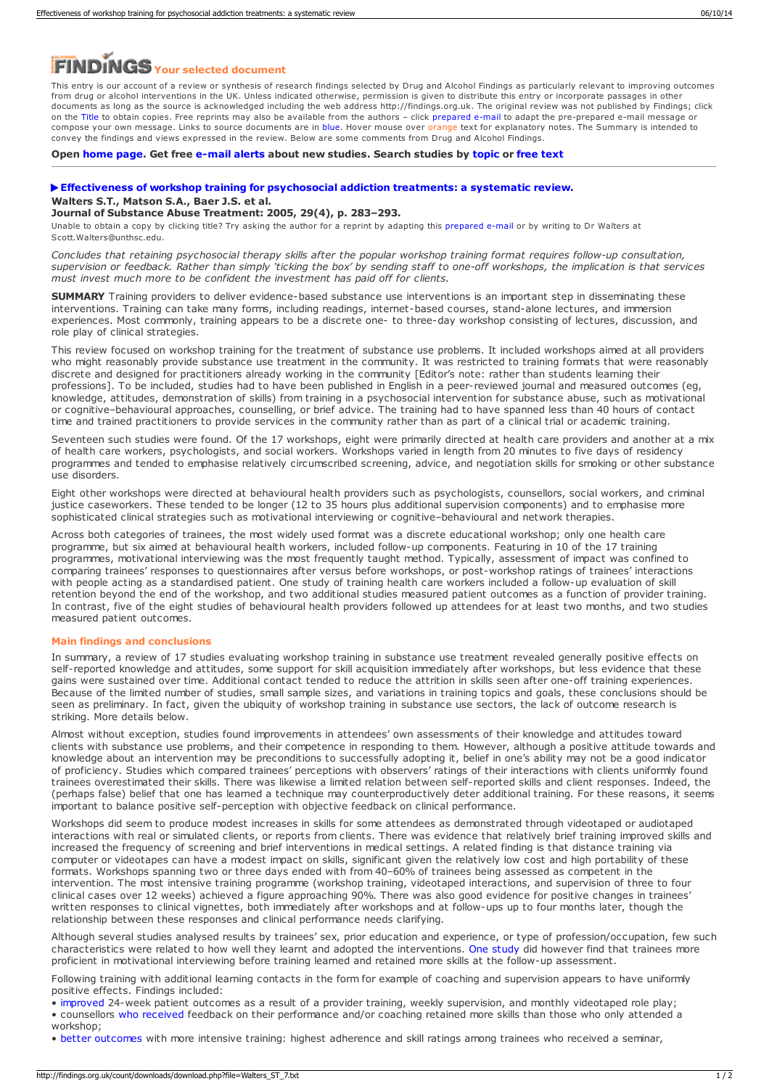# *Your selected document*

This entry is our account of a review or synthesis of research findings selected by Drug and Alcohol Findings as particularly relevant to improving outcomes from drug or alcohol interventions in the UK. Unless indicated otherwise, permission is given to distribute this entry or incorporate passages in other documents as long as the source is acknowledged including the web address http://findings.org.uk. The original review was not published by Findings; click on the Title to obtain copies. Free reprints may also be available from the authors – click prepared e-mail to adapt the pre-prepared e-mail message or compose your own message. Links to source documents are in blue. Hover mouse over orange text for explanatory notes. The Summary is intended to convey the findings and views expressed in the review. Below are some comments from Drug and Alcohol Findings.

**Open [home](https://findings.org.uk/index.php) page. Get free [e-mail](https://findings.org.uk/index.php#signUp) alerts about new studies. Search studies by [topic](https://findings.org.uk/topic_search.htm) or [free](https://findings.org.uk/free_search.htm) text**

## **[Effectiveness](http://dx.doi.org/10.1016/j.jsat.2005.08.006) of workshop training for psychosocial addiction treatments: a systematic review. Walters S.T., Matson S.A., Baer J.S. et al.**

#### **Journal of Substance Abuse Treatment: 2005, 29(4), p. 283–293.**

Unable to obtain a copy by clicking title? Try asking the author for a reprint by adapting this [prepared](mailto:Scott.Walters@unthsc.edu?Subject=Reprint request&body=Dear Dr Walters%0A%0AOn the Drug and Alcohol Findings web site (https://findings.org.uk) I read about your article:%0AWalters S.T., Matson S.A., Baer J.S. et al. Effectiveness of workshop training for psychosocial addiction treatments: a systematic review. Journal of Substance Abuse Treatment: 2005, 29(4), p. 283-293.%0A%0AWould it be possible to for me to be sent a PDF reprint or the manuscript by replying to this e-mail?%0A) e-mail or by writing to Dr Walters at Scott.Walters@unthsc.edu.

Concludes that retaining psychosocial therapy skills after the popular workshop training format requires follow-up consultation, supervision or feedback. Rather than simply 'ticking the box' by sending staff to one-off workshops, the implication is that services<br>must invest much more to be confident the investment has paid off for clients.

**SUMMARY** Training providers to deliver evidence-based substance use interventions is an important step in disseminating these interventions. Training can take many forms, including readings, internet-based courses, stand-alone lectures, and immersion experiences. Most commonly, training appears to be a discrete one- to three-day workshop consisting of lectures, discussion, and role play of clinical strategies.

This review focused on workshop training for the treatment of substance use problems. It included workshops aimed at all providers who might reasonably provide substance use treatment in the community. It was restricted to training formats that were reasonably discrete and designed for practitioners already working in the community [Editor's note: rather than students learning their professions]. To be included, studies had to have been published in English in a peer-reviewed journal and measured outcomes (eg, knowledge, attitudes, demonstration of skills) from training in a psychosocial intervention for substance abuse, such as motivational or cognitive–behavioural approaches, counselling, or brief advice. The training had to have spanned less than 40 hours of contact time and trained practitioners to provide services in the community rather than as part of a clinical trial or academic training.

Seventeen such studies were found. Of the 17 workshops, eight were primarily directed at health care providers and another at a mix of health care workers, psychologists, and social workers. Workshops varied in length from 20 minutes to five days of residency programmes and tended to emphasise relatively circumscribed screening, advice, and negotiation skills for smoking or other substance use disorders.

Eight other workshops were directed at behavioural health providers such as psychologists, counsellors, social workers, and criminal justice caseworkers. These tended to be longer (12 to 35 hours plus additional supervision components) and to emphasise more sophisticated clinical strategies such as motivational interviewing or cognitive–behavioural and network therapies.

Across both categories of trainees, the most widely used format was a discrete educational workshop; only one health care programme, but six aimed at behavioural health workers, included follow-up components. Featuring in 10 of the 17 training programmes, motivational interviewing was the most frequently taught method. Typically, assessment of impact was confined to comparing trainees' responses to questionnaires after versus before workshops, or post-workshop ratings of trainees' interactions with people acting as a standardised patient. One study of training health care workers included a follow-up evaluation of skill retention beyond the end of the workshop, and two additional studies measured patient outcomes as a function of provider training. In contrast, five of the eight studies of behavioural health providers followed up attendees for at least two months, and two studies measured patient outcomes.

### **Main findings and conclusions**

In summary, a review of 17 studies evaluating workshop training in substance use treatment revealed generally positive effects on self-reported knowledge and attitudes, some support for skill acquisition immediately after workshops, but less evidence that these gains were sustained over time. Additional contact tended to reduce the attrition in skills seen after one-off training experiences. Because of the limited number of studies, small sample sizes, and variations in training topics and goals, these conclusions should be seen as preliminary. In fact, given the ubiquity of workshop training in substance use sectors, the lack of outcome research is striking. More details below.

Almost without exception, studies found improvements in attendees' own assessments of their knowledge and attitudes toward clients with substance use problems, and their competence in responding to them. However, although a positive attitude towards and knowledge about an intervention may be preconditions to successfully adopting it, belief in one's ability may not be a good indicator of proficiency. Studies which compared trainees' perceptions with observers' ratings of their interactions with clients uniformly found trainees overestimated their skills. There was likewise a limited relation between self-reported skills and client responses. Indeed, the (perhaps false) belief that one has learned a technique may counterproductively deter additional training. For these reasons, it seems important to balance positive self-perception with objective feedback on clinical performance.

Workshops did seem to produce modest increases in skills for some attendees as demonstrated through videotaped or audiotaped interactions with real or simulated clients, or reports from clients. There was evidence that relatively brief training improved skills and increased the frequency of screening and brief interventions in medical settings. A related finding is that distance training via computer or videotapes can have a modest impact on skills, significant given the relatively low cost and high portability of these formats. Workshops spanning two or three days ended with from 40–60% of trainees being assessed as competent in the intervention. The most intensive training programme (workshop training, videotaped interactions, and supervision of three to four clinical cases over 12 weeks) achieved a figure approaching 90%. There was also good evidence for positive changes in trainees' written responses to clinical vignettes, both immediately after workshops and at follow-ups up to four months later, though the relationship between these responses and clinical performance needs clarifying.

Although several studies analysed results by trainees' sex, prior education and experience, or type of profession/occupation, few such characteristics were related to how well they learnt and adopted the interventions. One [study](http://www.findings.org.uk/count/downloads/download.php?file=Baer_JS_2.txt) did however find that trainees more proficient in motivational interviewing before training learned and retained more skills at the follow-up assessment.

Following training with additional learning contacts in the form for example of coaching and supervision appears to have uniformly positive effects. Findings included:

• [improved](http://informahealthcare.com/doi/abs/10.3109/00952999709016882) 24-week patient outcomes as a result of a provider training, weekly supervision, and monthly videotaped role play; • counsellors who [received](https://findings.org.uk/count/downloads/download.php?file=Moyers_TB_1.txtsource) feedback on their performance and/or coaching retained more skills than those who only attended a

workshop;

• better [outcomes](http://www.ncbi.nlm.nih.gov/pmc/articles/PMC2367057/) with more intensive training: highest adherence and skill ratings among trainees who received a seminar,